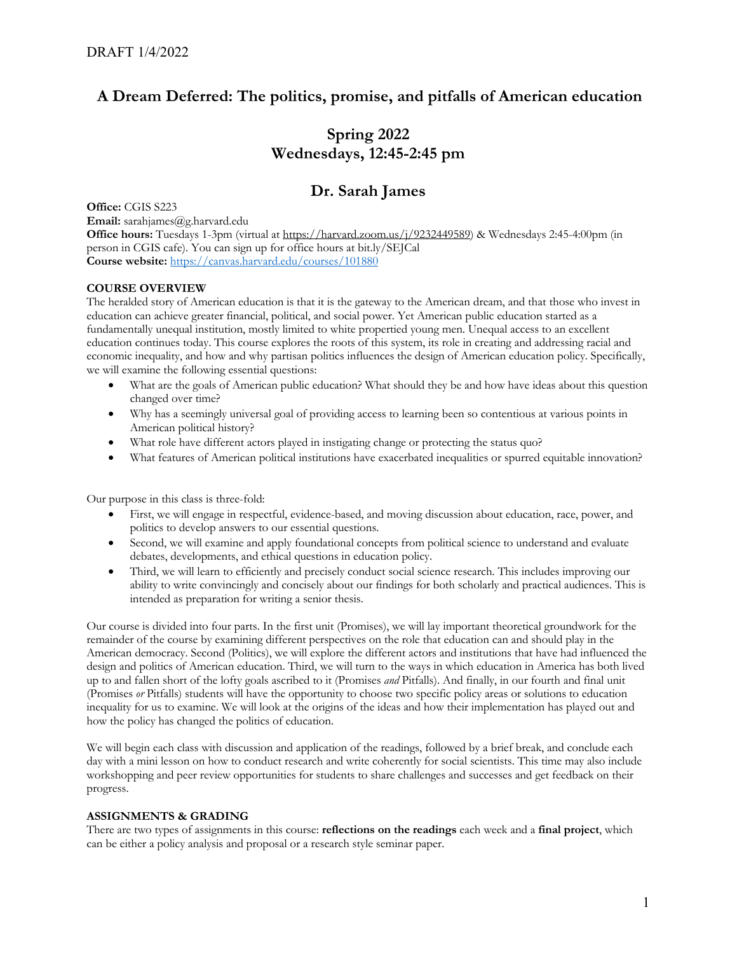# **A Dream Deferred: The politics, promise, and pitfalls of American education**

# **Spring 2022 Wednesdays, 12:45-2:45 pm**

# **Dr. Sarah James**

**Office: CGIS S223 Email:** sarahjames@g.harvard.edu **Office hours:** Tuesdays 1-3pm (virtual at https://harvard.zoom.us/j/9232449589) & Wednesdays 2:45-4:00pm (in person in CGIS cafe). You can sign up for office hours at bit.ly/SEJCal **Course website:** https://canvas.harvard.edu/courses/101880

## **COURSE OVERVIEW**

The heralded story of American education is that it is the gateway to the American dream, and that those who invest in education can achieve greater financial, political, and social power. Yet American public education started as a fundamentally unequal institution, mostly limited to white propertied young men. Unequal access to an excellent education continues today. This course explores the roots of this system, its role in creating and addressing racial and economic inequality, and how and why partisan politics influences the design of American education policy. Specifically, we will examine the following essential questions:

- What are the goals of American public education? What should they be and how have ideas about this question changed over time?
- Why has a seemingly universal goal of providing access to learning been so contentious at various points in American political history?
- What role have different actors played in instigating change or protecting the status quo?
- What features of American political institutions have exacerbated inequalities or spurred equitable innovation?

Our purpose in this class is three-fold:

- First, we will engage in respectful, evidence-based, and moving discussion about education, race, power, and politics to develop answers to our essential questions.
- Second, we will examine and apply foundational concepts from political science to understand and evaluate debates, developments, and ethical questions in education policy.
- Third, we will learn to efficiently and precisely conduct social science research. This includes improving our ability to write convincingly and concisely about our findings for both scholarly and practical audiences. This is intended as preparation for writing a senior thesis.

Our course is divided into four parts. In the first unit (Promises), we will lay important theoretical groundwork for the remainder of the course by examining different perspectives on the role that education can and should play in the American democracy. Second (Politics), we will explore the different actors and institutions that have had influenced the design and politics of American education. Third, we will turn to the ways in which education in America has both lived up to and fallen short of the lofty goals ascribed to it (Promises *and* Pitfalls). And finally, in our fourth and final unit (Promises *or* Pitfalls) students will have the opportunity to choose two specific policy areas or solutions to education inequality for us to examine. We will look at the origins of the ideas and how their implementation has played out and how the policy has changed the politics of education.

We will begin each class with discussion and application of the readings, followed by a brief break, and conclude each day with a mini lesson on how to conduct research and write coherently for social scientists. This time may also include workshopping and peer review opportunities for students to share challenges and successes and get feedback on their progress.

## **ASSIGNMENTS & GRADING**

There are two types of assignments in this course: **reflections on the readings** each week and a **final project**, which can be either a policy analysis and proposal or a research style seminar paper.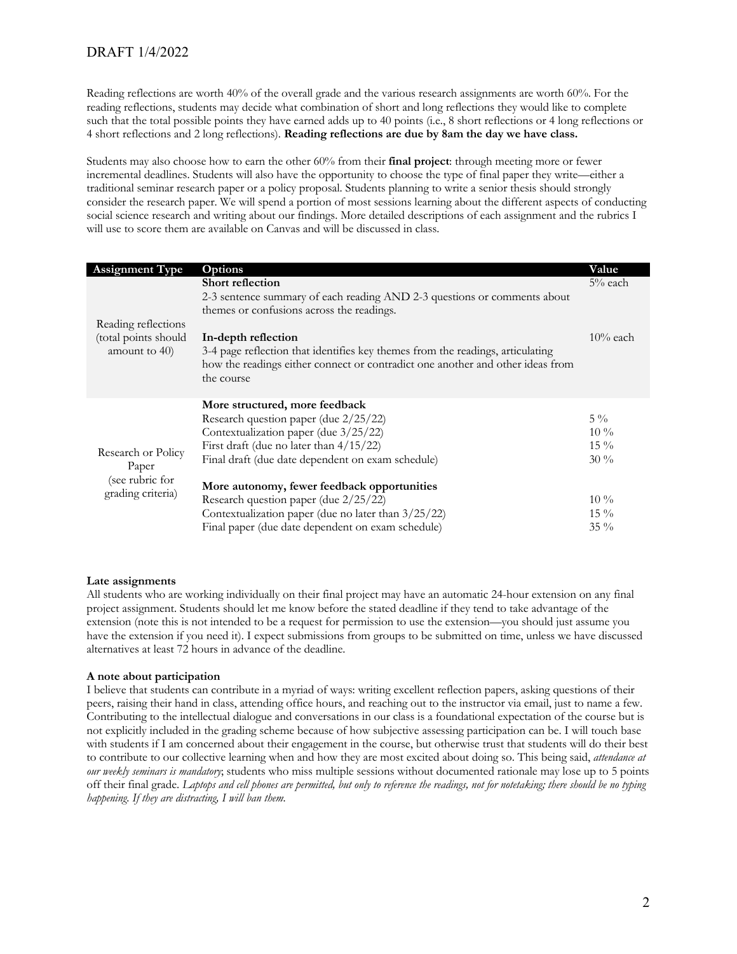Reading reflections are worth 40% of the overall grade and the various research assignments are worth 60%. For the reading reflections, students may decide what combination of short and long reflections they would like to complete such that the total possible points they have earned adds up to 40 points (i.e., 8 short reflections or 4 long reflections or 4 short reflections and 2 long reflections). **Reading reflections are due by 8am the day we have class.** 

Students may also choose how to earn the other 60% from their **final project**: through meeting more or fewer incremental deadlines. Students will also have the opportunity to choose the type of final paper they write—either a traditional seminar research paper or a policy proposal. Students planning to write a senior thesis should strongly consider the research paper. We will spend a portion of most sessions learning about the different aspects of conducting social science research and writing about our findings. More detailed descriptions of each assignment and the rubrics I will use to score them are available on Canvas and will be discussed in class.

| <b>Assignment Type</b>                                              | Options                                                                                                                                                          | Value       |
|---------------------------------------------------------------------|------------------------------------------------------------------------------------------------------------------------------------------------------------------|-------------|
| Reading reflections                                                 | <b>Short reflection</b><br>2-3 sentence summary of each reading AND 2-3 questions or comments about                                                              | $5%$ each   |
|                                                                     | themes or confusions across the readings.                                                                                                                        |             |
|                                                                     |                                                                                                                                                                  |             |
| (total points should                                                | In-depth reflection                                                                                                                                              | $10\%$ each |
| amount to 40)                                                       | 3-4 page reflection that identifies key themes from the readings, articulating<br>how the readings either connect or contradict one another and other ideas from |             |
|                                                                     | the course                                                                                                                                                       |             |
| Research or Policy<br>Paper<br>(see rubric for<br>grading criteria) | More structured, more feedback                                                                                                                                   |             |
|                                                                     | Research question paper (due 2/25/22)                                                                                                                            | $5\%$       |
|                                                                     | Contextualization paper (due 3/25/22)                                                                                                                            | $10\%$      |
|                                                                     | First draft (due no later than $4/15/22$ )                                                                                                                       | $15\%$      |
|                                                                     | Final draft (due date dependent on exam schedule)                                                                                                                | $30\%$      |
|                                                                     | More autonomy, fewer feedback opportunities                                                                                                                      |             |
|                                                                     | Research question paper (due 2/25/22)                                                                                                                            | $10\%$      |
|                                                                     | Contextualization paper (due no later than 3/25/22)                                                                                                              | $15\%$      |
|                                                                     | Final paper (due date dependent on exam schedule)                                                                                                                | $35\%$      |

## **Late assignments**

All students who are working individually on their final project may have an automatic 24-hour extension on any final project assignment. Students should let me know before the stated deadline if they tend to take advantage of the extension (note this is not intended to be a request for permission to use the extension—you should just assume you have the extension if you need it). I expect submissions from groups to be submitted on time, unless we have discussed alternatives at least 72 hours in advance of the deadline.

#### **A note about participation**

I believe that students can contribute in a myriad of ways: writing excellent reflection papers, asking questions of their peers, raising their hand in class, attending office hours, and reaching out to the instructor via email, just to name a few. Contributing to the intellectual dialogue and conversations in our class is a foundational expectation of the course but is not explicitly included in the grading scheme because of how subjective assessing participation can be. I will touch base with students if I am concerned about their engagement in the course, but otherwise trust that students will do their best to contribute to our collective learning when and how they are most excited about doing so. This being said, *attendance at our weekly seminars is mandatory*; students who miss multiple sessions without documented rationale may lose up to 5 points off their final grade. *Laptops and cell phones are permitted, but only to reference the readings, not for notetaking; there should be no typing happening. If they are distracting, I will ban them.*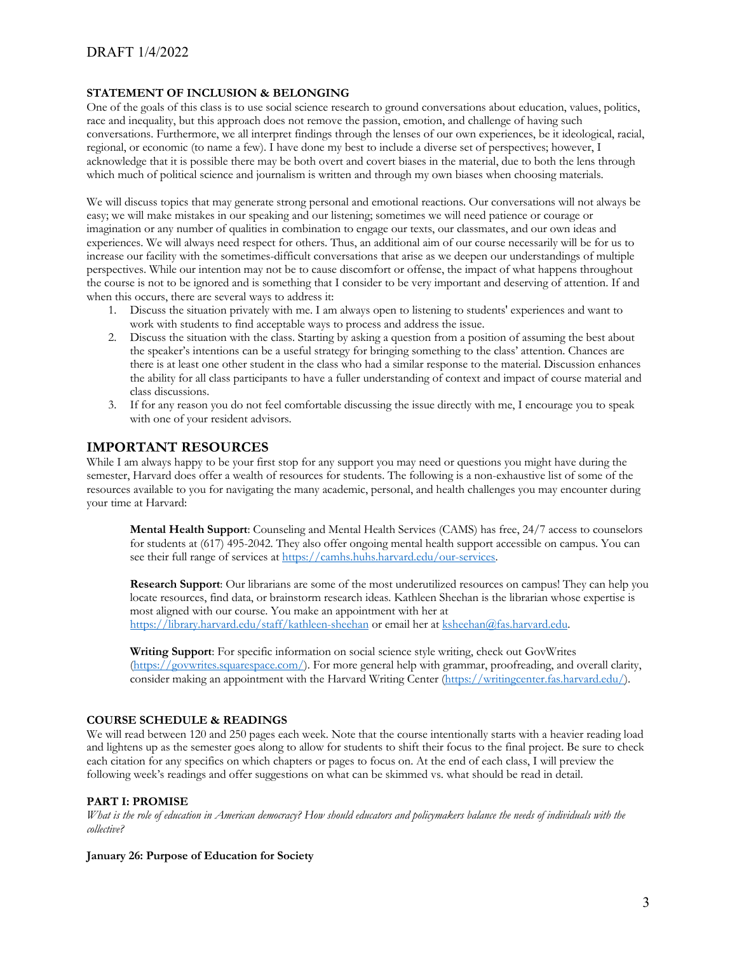## **STATEMENT OF INCLUSION & BELONGING**

One of the goals of this class is to use social science research to ground conversations about education, values, politics, race and inequality, but this approach does not remove the passion, emotion, and challenge of having such conversations. Furthermore, we all interpret findings through the lenses of our own experiences, be it ideological, racial, regional, or economic (to name a few). I have done my best to include a diverse set of perspectives; however, I acknowledge that it is possible there may be both overt and covert biases in the material, due to both the lens through which much of political science and journalism is written and through my own biases when choosing materials.

We will discuss topics that may generate strong personal and emotional reactions. Our conversations will not always be easy; we will make mistakes in our speaking and our listening; sometimes we will need patience or courage or imagination or any number of qualities in combination to engage our texts, our classmates, and our own ideas and experiences. We will always need respect for others. Thus, an additional aim of our course necessarily will be for us to increase our facility with the sometimes-difficult conversations that arise as we deepen our understandings of multiple perspectives. While our intention may not be to cause discomfort or offense, the impact of what happens throughout the course is not to be ignored and is something that I consider to be very important and deserving of attention. If and when this occurs, there are several ways to address it:

- 1. Discuss the situation privately with me. I am always open to listening to students' experiences and want to work with students to find acceptable ways to process and address the issue.
- 2. Discuss the situation with the class. Starting by asking a question from a position of assuming the best about the speaker's intentions can be a useful strategy for bringing something to the class' attention. Chances are there is at least one other student in the class who had a similar response to the material. Discussion enhances the ability for all class participants to have a fuller understanding of context and impact of course material and class discussions.
- 3. If for any reason you do not feel comfortable discussing the issue directly with me, I encourage you to speak with one of your resident advisors.

## **IMPORTANT RESOURCES**

While I am always happy to be your first stop for any support you may need or questions you might have during the semester, Harvard does offer a wealth of resources for students. The following is a non-exhaustive list of some of the resources available to you for navigating the many academic, personal, and health challenges you may encounter during your time at Harvard:

**Mental Health Support**: Counseling and Mental Health Services (CAMS) has free, 24/7 access to counselors for students at (617) 495-2042. They also offer ongoing mental health support accessible on campus. You can see their full range of services at https://camhs.huhs.harvard.edu/our-services.

**Research Support**: Our librarians are some of the most underutilized resources on campus! They can help you locate resources, find data, or brainstorm research ideas. Kathleen Sheehan is the librarian whose expertise is most aligned with our course. You make an appointment with her at https://library.harvard.edu/staff/kathleen-sheehan or email her at ksheehan@fas.harvard.edu.

**Writing Support**: For specific information on social science style writing, check out GovWrites (https://govwrites.squarespace.com/). For more general help with grammar, proofreading, and overall clarity, consider making an appointment with the Harvard Writing Center (https://writingcenter.fas.harvard.edu/).

## **COURSE SCHEDULE & READINGS**

We will read between 120 and 250 pages each week. Note that the course intentionally starts with a heavier reading load and lightens up as the semester goes along to allow for students to shift their focus to the final project. Be sure to check each citation for any specifics on which chapters or pages to focus on. At the end of each class, I will preview the following week's readings and offer suggestions on what can be skimmed vs. what should be read in detail.

## **PART I: PROMISE**

*What is the role of education in American democracy? How should educators and policymakers balance the needs of individuals with the collective?*

## **January 26: Purpose of Education for Society**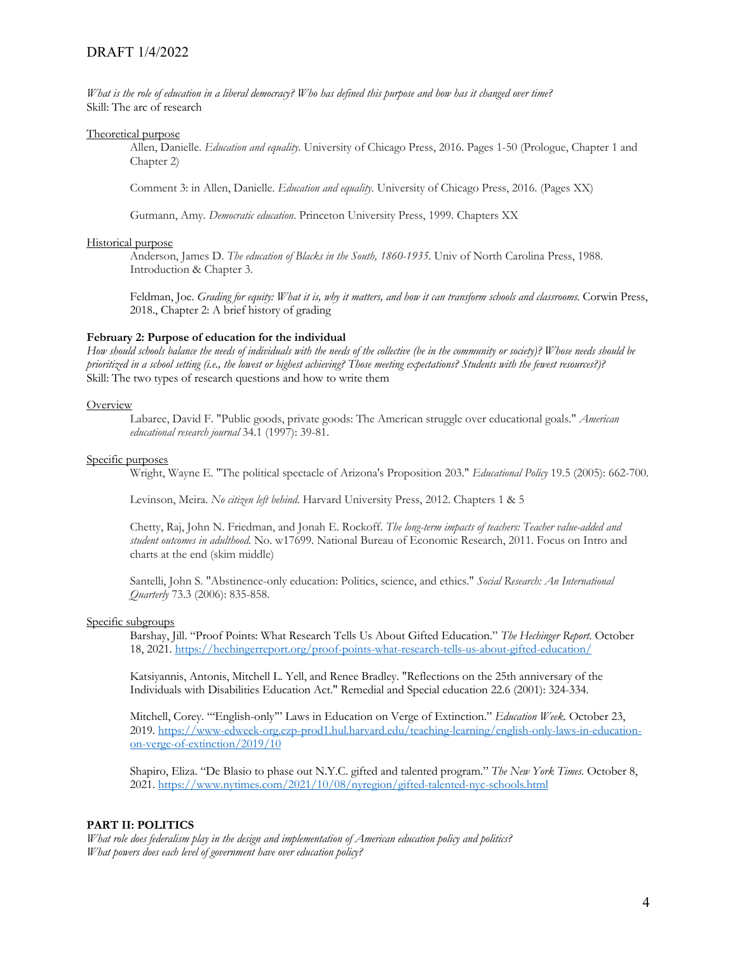*What is the role of education in a liberal democracy? Who has defined this purpose and how has it changed over time?* Skill: The arc of research

#### Theoretical purpose

Allen, Danielle. *Education and equality*. University of Chicago Press, 2016. Pages 1-50 (Prologue, Chapter 1 and Chapter 2)

Comment 3: in Allen, Danielle. *Education and equality*. University of Chicago Press, 2016. (Pages XX)

Gutmann, Amy. *Democratic education*. Princeton University Press, 1999. Chapters XX

#### Historical purpose

Anderson, James D. *The education of Blacks in the South, 1860-1935*. Univ of North Carolina Press, 1988. Introduction & Chapter 3.

Feldman, Joe. *Grading for equity: What it is, why it matters, and how it can transform schools and classrooms*. Corwin Press, 2018., Chapter 2: A brief history of grading

## **February 2: Purpose of education for the individual**

*How should schools balance the needs of individuals with the needs of the collective (be in the community or society)? Whose needs should be prioritized in a school setting (i.e., the lowest or highest achieving? Those meeting expectations? Students with the fewest resources?)?* Skill: The two types of research questions and how to write them

#### **Overview**

Labaree, David F. "Public goods, private goods: The American struggle over educational goals." *American educational research journal* 34.1 (1997): 39-81.

#### Specific purposes

Wright, Wayne E. "The political spectacle of Arizona's Proposition 203." *Educational Policy* 19.5 (2005): 662-700.

Levinson, Meira. *No citizen left behind*. Harvard University Press, 2012. Chapters 1 & 5

Chetty, Raj, John N. Friedman, and Jonah E. Rockoff. *The long-term impacts of teachers: Teacher value-added and student outcomes in adulthood*. No. w17699. National Bureau of Economic Research, 2011. Focus on Intro and charts at the end (skim middle)

Santelli, John S. "Abstinence-only education: Politics, science, and ethics." *Social Research: An International Quarterly* 73.3 (2006): 835-858.

#### Specific subgroups

Barshay, Jill. "Proof Points: What Research Tells Us About Gifted Education." *The Hechinger Report.* October 18, 2021. https://hechingerreport.org/proof-points-what-research-tells-us-about-gifted-education/

Katsiyannis, Antonis, Mitchell L. Yell, and Renee Bradley. "Reflections on the 25th anniversary of the Individuals with Disabilities Education Act." Remedial and Special education 22.6 (2001): 324-334.

Mitchell, Corey. "'English-only'" Laws in Education on Verge of Extinction." *Education Week.* October 23, 2019. https://www-edweek-org.ezp-prod1.hul.harvard.edu/teaching-learning/english-only-laws-in-educationon-verge-of-extinction/2019/10

Shapiro, Eliza. "De Blasio to phase out N.Y.C. gifted and talented program." *The New York Times.* October 8, 2021. https://www.nytimes.com/2021/10/08/nyregion/gifted-talented-nyc-schools.html

## **PART II: POLITICS**

*What role does federalism play in the design and implementation of American education policy and politics? What powers does each level of government have over education policy?*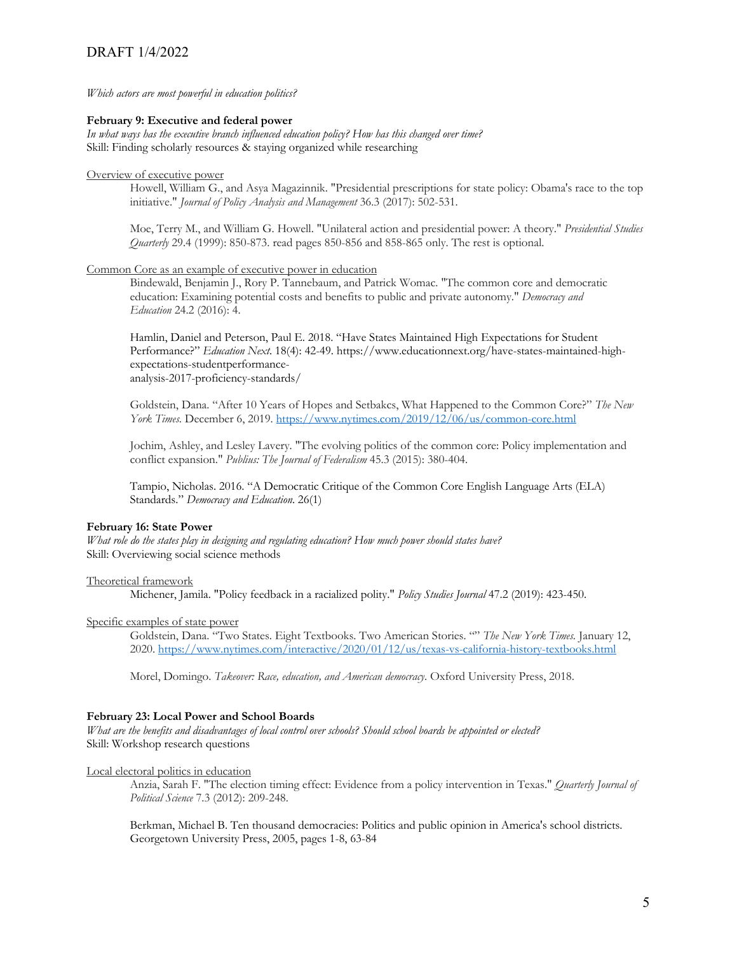*Which actors are most powerful in education politics?*

#### **February 9: Executive and federal power**

*In what ways has the executive branch influenced education policy? How has this changed over time?* Skill: Finding scholarly resources & staying organized while researching

## Overview of executive power

Howell, William G., and Asya Magazinnik. "Presidential prescriptions for state policy: Obama's race to the top initiative." *Journal of Policy Analysis and Management* 36.3 (2017): 502-531.

Moe, Terry M., and William G. Howell. "Unilateral action and presidential power: A theory." *Presidential Studies Quarterly* 29.4 (1999): 850-873. read pages 850-856 and 858-865 only. The rest is optional.

#### Common Core as an example of executive power in education

Bindewald, Benjamin J., Rory P. Tannebaum, and Patrick Womac. "The common core and democratic education: Examining potential costs and benefits to public and private autonomy." *Democracy and Education* 24.2 (2016): 4.

Hamlin, Daniel and Peterson, Paul E. 2018. "Have States Maintained High Expectations for Student Performance?" *Education Next*. 18(4): 42-49. https://www.educationnext.org/have-states-maintained-highexpectations-studentperformanceanalysis-2017-proficiency-standards/

Goldstein, Dana. "After 10 Years of Hopes and Setbakcs, What Happened to the Common Core?" *The New York Times.* December 6, 2019. https://www.nytimes.com/2019/12/06/us/common-core.html

Jochim, Ashley, and Lesley Lavery. "The evolving politics of the common core: Policy implementation and conflict expansion." *Publius: The Journal of Federalism* 45.3 (2015): 380-404.

Tampio, Nicholas. 2016. "A Democratic Critique of the Common Core English Language Arts (ELA) Standards." *Democracy and Education*. 26(1)

#### **February 16: State Power**

*What role do the states play in designing and regulating education? How much power should states have?* Skill: Overviewing social science methods

#### Theoretical framework

Michener, Jamila. "Policy feedback in a racialized polity." *Policy Studies Journal* 47.2 (2019): 423-450.

## Specific examples of state power

Goldstein, Dana. "Two States. Eight Textbooks. Two American Stories. "" *The New York Times.* January 12, 2020. https://www.nytimes.com/interactive/2020/01/12/us/texas-vs-california-history-textbooks.html

Morel, Domingo. *Takeover: Race, education, and American democracy*. Oxford University Press, 2018.

#### **February 23: Local Power and School Boards**

*What are the benefits and disadvantages of local control over schools? Should school boards be appointed or elected?* Skill: Workshop research questions

Local electoral politics in education

Anzia, Sarah F. "The election timing effect: Evidence from a policy intervention in Texas." *Quarterly Journal of Political Science* 7.3 (2012): 209-248.

Berkman, Michael B. Ten thousand democracies: Politics and public opinion in America's school districts. Georgetown University Press, 2005, pages 1-8, 63-84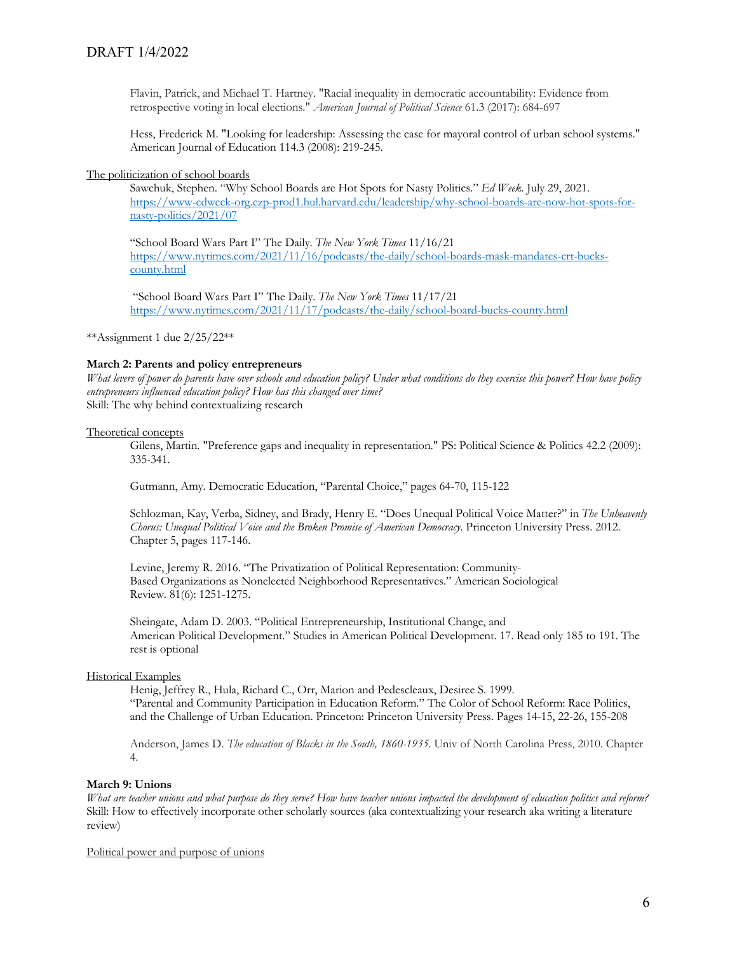Flavin, Patrick, and Michael T. Hartney. "Racial inequality in democratic accountability: Evidence from retrospective voting in local elections." *American Journal of Political Science* 61.3 (2017): 684-697

Hess, Frederick M. "Looking for leadership: Assessing the case for mayoral control of urban school systems." American Journal of Education 114.3 (2008): 219-245.

The politicization of school boards

Sawchuk, Stephen. "Why School Boards are Hot Spots for Nasty Politics." *Ed Week.* July 29, 2021. https://www-edweek-org.ezp-prod1.hul.harvard.edu/leadership/why-school-boards-are-now-hot-spots-fornasty-politics/2021/07

"School Board Wars Part I" The Daily. *The New York Times* 11/16/21 https://www.nytimes.com/2021/11/16/podcasts/the-daily/school-boards-mask-mandates-crt-buckscounty.html

"School Board Wars Part I" The Daily. *The New York Times* 11/17/21 https://www.nytimes.com/2021/11/17/podcasts/the-daily/school-board-bucks-county.html

\*\*Assignment 1 due 2/25/22\*\*

#### **March 2: Parents and policy entrepreneurs**

*What levers of power do parents have over schools and education policy? Under what conditions do they exercise this power? How have policy entrepreneurs influenced education policy? How has this changed over time?* Skill: The why behind contextualizing research

#### Theoretical concepts

Gilens, Martin. "Preference gaps and inequality in representation." PS: Political Science & Politics 42.2 (2009): 335-341.

Gutmann, Amy. Democratic Education, "Parental Choice," pages 64-70, 115-122

Schlozman, Kay, Verba, Sidney, and Brady, Henry E. "Does Unequal Political Voice Matter?" in *The Unheavenly Chorus: Unequal Political Voice and the Broken Promise of American Democracy*. Princeton University Press. 2012. Chapter 5, pages 117-146.

Levine, Jeremy R. 2016. "The Privatization of Political Representation: Community-Based Organizations as Nonelected Neighborhood Representatives." American Sociological Review. 81(6): 1251-1275.

Sheingate, Adam D. 2003. "Political Entrepreneurship, Institutional Change, and American Political Development." Studies in American Political Development. 17. Read only 185 to 191. The rest is optional

#### Historical Examples

Henig, Jeffrey R., Hula, Richard C., Orr, Marion and Pedescleaux, Desiree S. 1999. "Parental and Community Participation in Education Reform." The Color of School Reform: Race Politics, and the Challenge of Urban Education. Princeton: Princeton University Press. Pages 14-15, 22-26, 155-208

Anderson, James D. *The education of Blacks in the South, 1860-1935*. Univ of North Carolina Press, 2010. Chapter 4.

#### **March 9: Unions**

*What are teacher unions and what purpose do they serve? How have teacher unions impacted the development of education politics and reform?* Skill: How to effectively incorporate other scholarly sources (aka contextualizing your research aka writing a literature review)

Political power and purpose of unions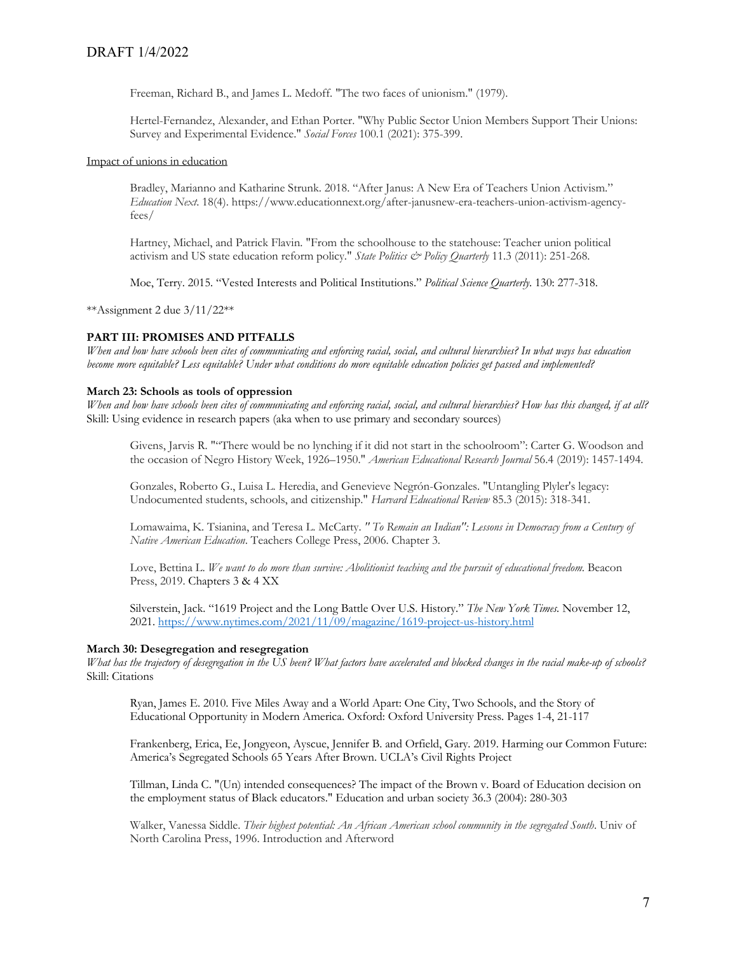Freeman, Richard B., and James L. Medoff. "The two faces of unionism." (1979).

Hertel-Fernandez, Alexander, and Ethan Porter. "Why Public Sector Union Members Support Their Unions: Survey and Experimental Evidence." *Social Forces* 100.1 (2021): 375-399.

#### Impact of unions in education

Bradley, Marianno and Katharine Strunk. 2018. "After Janus: A New Era of Teachers Union Activism." *Education Next*. 18(4). https://www.educationnext.org/after-janusnew-era-teachers-union-activism-agencyfees/

Hartney, Michael, and Patrick Flavin. "From the schoolhouse to the statehouse: Teacher union political activism and US state education reform policy." *State Politics & Policy Quarterly* 11.3 (2011): 251-268.

Moe, Terry. 2015. "Vested Interests and Political Institutions." *Political Science Quarterly*. 130: 277-318.

\*\*Assignment 2 due 3/11/22\*\*

## **PART III: PROMISES AND PITFALLS**

*When and how have schools been cites of communicating and enforcing racial, social, and cultural hierarchies? In what ways has education become more equitable? Less equitable? Under what conditions do more equitable education policies get passed and implemented?*

#### **March 23: Schools as tools of oppression**

*When and how have schools been cites of communicating and enforcing racial, social, and cultural hierarchies? How has this changed, if at all?* Skill: Using evidence in research papers (aka when to use primary and secondary sources)

Givens, Jarvis R. ""There would be no lynching if it did not start in the schoolroom": Carter G. Woodson and the occasion of Negro History Week, 1926–1950." *American Educational Research Journal* 56.4 (2019): 1457-1494.

Gonzales, Roberto G., Luisa L. Heredia, and Genevieve Negrón-Gonzales. "Untangling Plyler's legacy: Undocumented students, schools, and citizenship." *Harvard Educational Review* 85.3 (2015): 318-341.

Lomawaima, K. Tsianina, and Teresa L. McCarty. *" To Remain an Indian": Lessons in Democracy from a Century of Native American Education*. Teachers College Press, 2006. Chapter 3.

Love, Bettina L. *We want to do more than survive: Abolitionist teaching and the pursuit of educational freedom*. Beacon Press, 2019. Chapters 3 & 4 XX

Silverstein, Jack. "1619 Project and the Long Battle Over U.S. History." *The New York Times.* November 12, 2021. https://www.nytimes.com/2021/11/09/magazine/1619-project-us-history.html

## **March 30: Desegregation and resegregation**

*What has the trajectory of desegregation in the US been? What factors have accelerated and blocked changes in the racial make-up of schools?* Skill: Citations

Ryan, James E. 2010. Five Miles Away and a World Apart: One City, Two Schools, and the Story of Educational Opportunity in Modern America. Oxford: Oxford University Press. Pages 1-4, 21-117

Frankenberg, Erica, Ee, Jongyeon, Ayscue, Jennifer B. and Orfield, Gary. 2019. Harming our Common Future: America's Segregated Schools 65 Years After Brown. UCLA's Civil Rights Project

Tillman, Linda C. "(Un) intended consequences? The impact of the Brown v. Board of Education decision on the employment status of Black educators." Education and urban society 36.3 (2004): 280-303

Walker, Vanessa Siddle. *Their highest potential: An African American school community in the segregated South*. Univ of North Carolina Press, 1996. Introduction and Afterword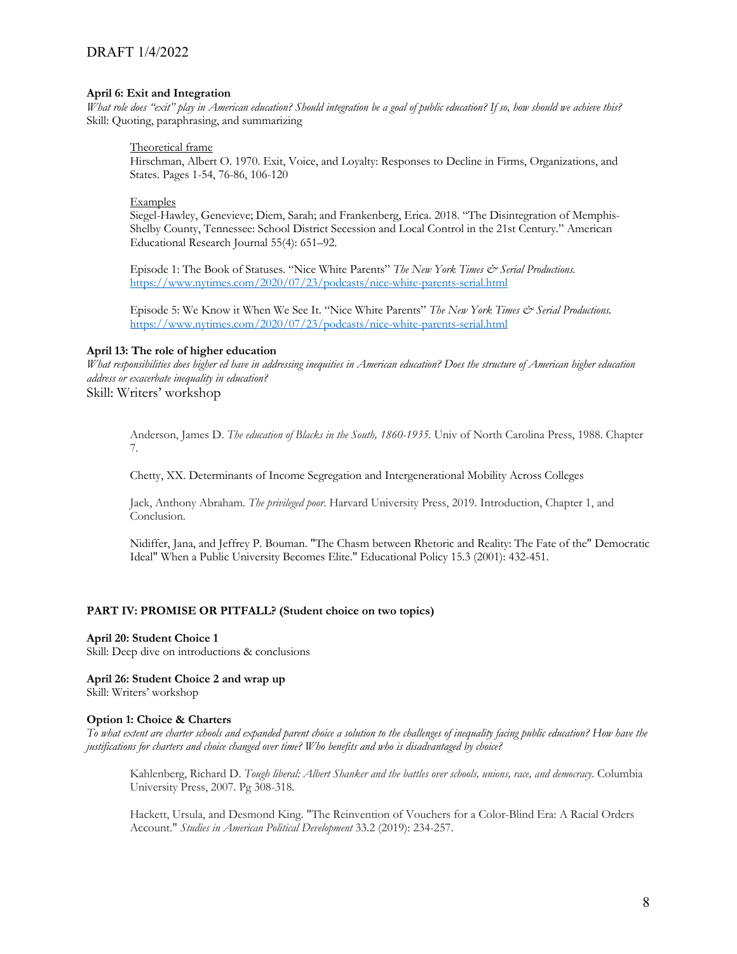## **April 6: Exit and Integration**

*What role does "exit" play in American education? Should integration be a goal of public education? If so, how should we achieve this?* Skill: Quoting, paraphrasing, and summarizing

## Theoretical frame

Hirschman, Albert O. 1970. Exit, Voice, and Loyalty: Responses to Decline in Firms, Organizations, and States. Pages 1-54, 76-86, 106-120

## **Examples**

Siegel-Hawley, Genevieve; Diem, Sarah; and Frankenberg, Erica. 2018. "The Disintegration of Memphis-Shelby County, Tennessee: School District Secession and Local Control in the 21st Century." American Educational Research Journal 55(4): 651–92.

Episode 1: The Book of Statuses. "Nice White Parents" *The New York Times & Serial Productions.* https://www.nytimes.com/2020/07/23/podcasts/nice-white-parents-serial.html

Episode 5: We Know it When We See It. "Nice White Parents" The New York Times & Serial Productions. https://www.nytimes.com/2020/07/23/podcasts/nice-white-parents-serial.html

## **April 13: The role of higher education**

*What responsibilities does higher ed have in addressing inequities in American education? Does the structure of American higher education address or exacerbate inequality in education?*

Skill: Writers' workshop

Anderson, James D. *The education of Blacks in the South, 1860-1935*. Univ of North Carolina Press, 1988. Chapter 7.

Chetty, XX. Determinants of Income Segregation and Intergenerational Mobility Across Colleges

Jack, Anthony Abraham. *The privileged poor*. Harvard University Press, 2019. Introduction, Chapter 1, and Conclusion.

Nidiffer, Jana, and Jeffrey P. Bouman. "The Chasm between Rhetoric and Reality: The Fate of the" Democratic Ideal" When a Public University Becomes Elite." Educational Policy 15.3 (2001): 432-451.

## **PART IV: PROMISE OR PITFALL? (Student choice on two topics)**

## **April 20: Student Choice 1**

Skill: Deep dive on introductions & conclusions

## **April 26: Student Choice 2 and wrap up**

Skill: Writers' workshop

## **Option 1: Choice & Charters**

*To what extent are charter schools and expanded parent choice a solution to the challenges of inequality facing public education? How have the justifications for charters and choice changed over time? Who benefits and who is disadvantaged by choice?*

Kahlenberg, Richard D. *Tough liberal: Albert Shanker and the battles over schools, unions, race, and democracy*. Columbia University Press, 2007. Pg 308-318.

Hackett, Ursula, and Desmond King. "The Reinvention of Vouchers for a Color-Blind Era: A Racial Orders Account." *Studies in American Political Development* 33.2 (2019): 234-257.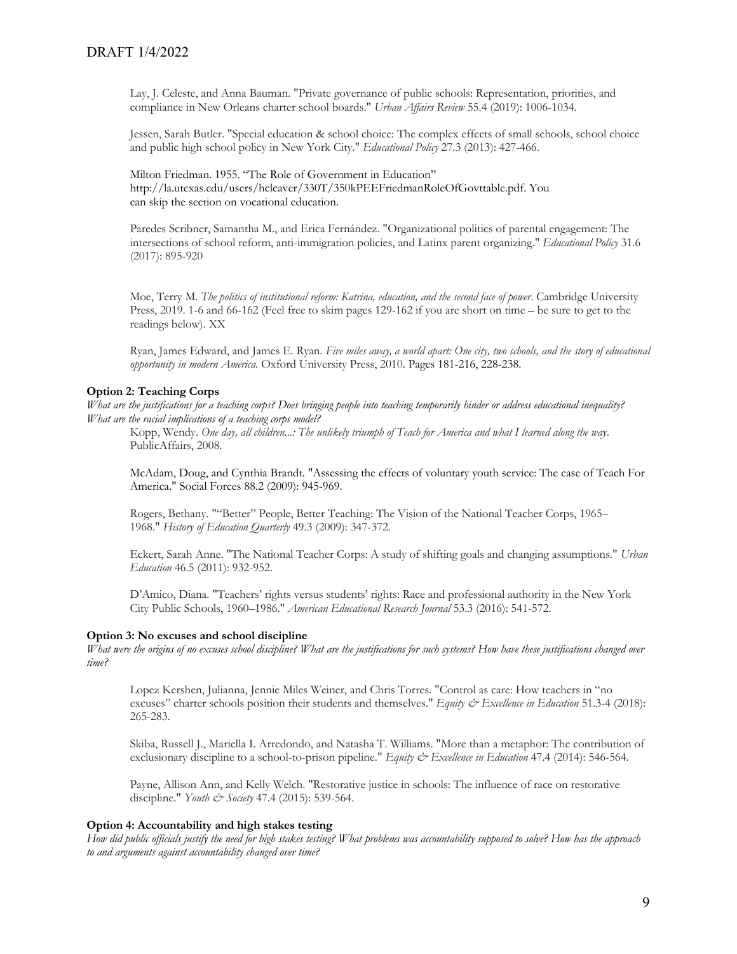Lay, J. Celeste, and Anna Bauman. "Private governance of public schools: Representation, priorities, and compliance in New Orleans charter school boards." *Urban Affairs Review* 55.4 (2019): 1006-1034.

Jessen, Sarah Butler. "Special education & school choice: The complex effects of small schools, school choice and public high school policy in New York City." *Educational Policy* 27.3 (2013): 427-466.

Milton Friedman. 1955. "The Role of Government in Education" http://la.utexas.edu/users/hcleaver/330T/350kPEEFriedmanRoleOfGovttable.pdf. You can skip the section on vocational education.

Paredes Scribner, Samantha M., and Erica Fernández. "Organizational politics of parental engagement: The intersections of school reform, anti-immigration policies, and Latinx parent organizing." *Educational Policy* 31.6 (2017): 895-920

Moe, Terry M. *The politics of institutional reform: Katrina, education, and the second face of power*. Cambridge University Press, 2019. 1-6 and 66-162 (Feel free to skim pages 129-162 if you are short on time – be sure to get to the readings below). XX

Ryan, James Edward, and James E. Ryan. *Five miles away, a world apart: One city, two schools, and the story of educational opportunity in modern America*. Oxford University Press, 2010. Pages 181-216, 228-238.

## **Option 2: Teaching Corps**

*What are the justifications for a teaching corps? Does bringing people into teaching temporarily hinder or address educational inequality? What are the racial implications of a teaching corps model?*

Kopp, Wendy. *One day, all children...: The unlikely triumph of Teach for America and what I learned along the way*. PublicAffairs, 2008.

McAdam, Doug, and Cynthia Brandt. "Assessing the effects of voluntary youth service: The case of Teach For America." Social Forces 88.2 (2009): 945-969.

Rogers, Bethany. ""Better" People, Better Teaching: The Vision of the National Teacher Corps, 1965– 1968." *History of Education Quarterly* 49.3 (2009): 347-372.

Eckert, Sarah Anne. "The National Teacher Corps: A study of shifting goals and changing assumptions." *Urban Education* 46.5 (2011): 932-952.

D'Amico, Diana. "Teachers' rights versus students' rights: Race and professional authority in the New York City Public Schools, 1960–1986." *American Educational Research Journal* 53.3 (2016): 541-572.

#### **Option 3: No excuses and school discipline**

*What were the origins of no excuses school discipline? What are the justifications for such systems? How have these justifications changed over time?*

Lopez Kershen, Julianna, Jennie Miles Weiner, and Chris Torres. "Control as care: How teachers in "no excuses" charter schools position their students and themselves." *Equity & Excellence in Education* 51.3-4 (2018): 265-283.

Skiba, Russell J., Mariella I. Arredondo, and Natasha T. Williams. "More than a metaphor: The contribution of exclusionary discipline to a school-to-prison pipeline." *Equity & Excellence in Education* 47.4 (2014): 546-564.

Payne, Allison Ann, and Kelly Welch. "Restorative justice in schools: The influence of race on restorative discipline." *Youth & Society* 47.4 (2015): 539-564.

## **Option 4: Accountability and high stakes testing**

*How did public officials justify the need for high stakes testing? What problems was accountability supposed to solve? How has the approach to and arguments against accountability changed over time?*